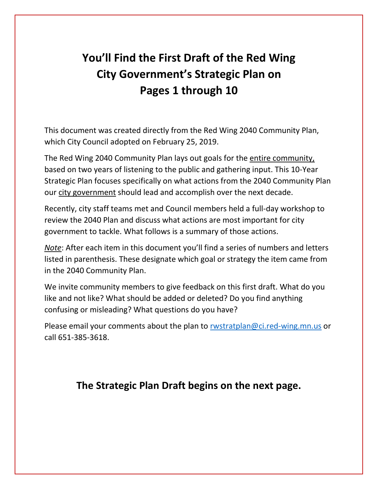# **You'll Find the First Draft of the Red Wing City Government's Strategic Plan on Pages 1 through 10**

This document was created directly from the Red Wing 2040 Community Plan, which City Council adopted on February 25, 2019.

The Red Wing 2040 Community Plan lays out goals for the entire community, based on two years of listening to the public and gathering input. This 10-Year Strategic Plan focuses specifically on what actions from the 2040 Community Plan our city government should lead and accomplish over the next decade.

Recently, city staff teams met and Council members held a full-day workshop to review the 2040 Plan and discuss what actions are most important for city government to tackle. What follows is a summary of those actions.

*Note*: After each item in this document you'll find a series of numbers and letters listed in parenthesis. These designate which goal or strategy the item came from in the 2040 Community Plan.

We invite community members to give feedback on this first draft. What do you like and not like? What should be added or deleted? Do you find anything confusing or misleading? What questions do you have?

Please email your comments about the plan to [rwstratplan@ci.red-wing.mn.us](mailto:rwstratplan@ci.red-wing.mn.us) or call 651-385-3618.

## **The Strategic Plan Draft begins on the next page.**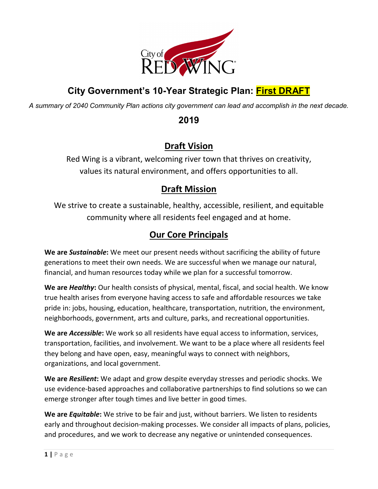

## **City Government's 10-Year Strategic Plan: First DRAFT**

*A summary of 2040 Community Plan actions city government can lead and accomplish in the next decade.*

**2019**

### **Draft Vision**

Red Wing is a vibrant, welcoming river town that thrives on creativity, values its natural environment, and offers opportunities to all.

## **Draft Mission**

We strive to create a sustainable, healthy, accessible, resilient, and equitable community where all residents feel engaged and at home.

## **Our Core Principals**

**We are** *Sustainable***:** We meet our present needs without sacrificing the ability of future generations to meet their own needs. We are successful when we manage our natural, financial, and human resources today while we plan for a successful tomorrow.

**We are** *Healthy***:** Our health consists of physical, mental, fiscal, and social health. We know true health arises from everyone having access to safe and affordable resources we take pride in: jobs, housing, education, healthcare, transportation, nutrition, the environment, neighborhoods, government, arts and culture, parks, and recreational opportunities.

**We are** *Accessible***:** We work so all residents have equal access to information, services, transportation, facilities, and involvement. We want to be a place where all residents feel they belong and have open, easy, meaningful ways to connect with neighbors, organizations, and local government.

**We are** *Resilient***:** We adapt and grow despite everyday stresses and periodic shocks. We use evidence-based approaches and collaborative partnerships to find solutions so we can emerge stronger after tough times and live better in good times.

**We are** *Equitable***:** We strive to be fair and just, without barriers. We listen to residents early and throughout decision-making processes. We consider all impacts of plans, policies, and procedures, and we work to decrease any negative or unintended consequences.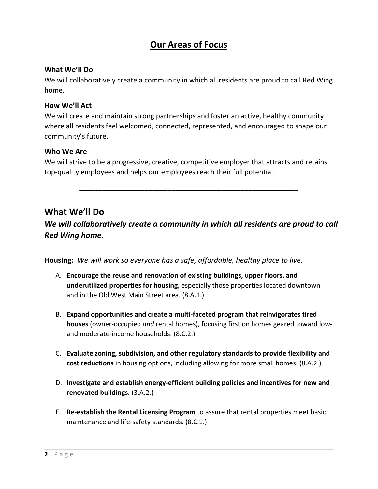### **Our Areas of Focus**

#### **What We'll Do**

We will collaboratively create a community in which all residents are proud to call Red Wing home.

#### **How We'll Act**

We will create and maintain strong partnerships and foster an active, healthy community where all residents feel welcomed, connected, represented, and encouraged to shape our community's future.

#### **Who We Are**

We will strive to be a progressive, creative, competitive employer that attracts and retains top-quality employees and helps our employees reach their full potential.

\_\_\_\_\_\_\_\_\_\_\_\_\_\_\_\_\_\_\_\_\_\_\_\_\_\_\_\_\_\_\_\_\_\_\_\_\_\_\_\_\_\_\_\_\_\_\_\_\_\_\_\_\_\_\_\_\_

### **What We'll Do**

*We will collaboratively create a community in which all residents are proud to call Red Wing home.*

**Housing:** *We will work so everyone has a safe, affordable, healthy place to live.*

- A. **Encourage the reuse and renovation of existing buildings, upper floors, and underutilized properties for housing**, especially those properties located downtown and in the Old West Main Street area. (8.A.1.)
- B. **Expand opportunities and create a multi-faceted program that reinvigorates tired houses** (owner-occupied *and* rental homes), focusing first on homes geared toward lowand moderate-income households. (8.C.2.)
- C. **Evaluate zoning, subdivision, and other regulatory standards to provide flexibility and cost reductions** in housing options, including allowing for more small homes. (8.A.2.)
- D. **Investigate and establish energy-efficient building policies and incentives for new and renovated buildings.** (3.A.2.)
- E. **Re-establish the Rental Licensing Program** to assure that rental properties meet basic maintenance and life-safety standards. (8.C.1.)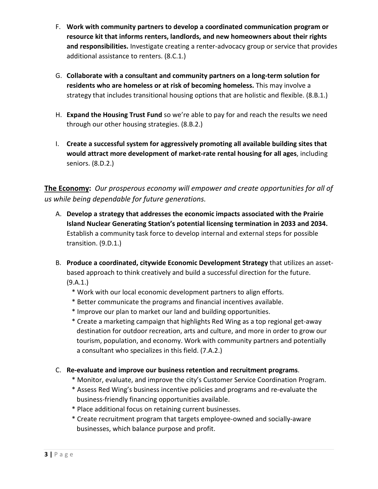- F. **Work with community partners to develop a coordinated communication program or resource kit that informs renters, landlords, and new homeowners about their rights and responsibilities.** Investigate creating a renter-advocacy group or service that provides additional assistance to renters. (8.C.1.)
- G. **Collaborate with a consultant and community partners on a long-term solution for residents who are homeless or at risk of becoming homeless.** This may involve a strategy that includes transitional housing options that are holistic and flexible. (8.B.1.)
- H. **Expand the Housing Trust Fund** so we're able to pay for and reach the results we need through our other housing strategies. (8.B.2.)
- I. **Create a successful system for aggressively promoting all available building sites that would attract more development of market-rate rental housing for all ages**, including seniors. (8.D.2.)

**The Economy:** *Our prosperous economy will empower and create opportunities for all of us while being dependable for future generations.*

- A. **Develop a strategy that addresses the economic impacts associated with the Prairie Island Nuclear Generating Station's potential licensing termination in 2033 and 2034.**  Establish a community task force to develop internal and external steps for possible transition. (9.D.1.)
- B. **Produce a coordinated, citywide Economic Development Strategy** that utilizes an assetbased approach to think creatively and build a successful direction for the future. (9.A.1.)
	- \* Work with our local economic development partners to align efforts.
	- \* Better communicate the programs and financial incentives available.
	- \* Improve our plan to market our land and building opportunities.
	- \* Create a marketing campaign that highlights Red Wing as a top regional get-away destination for outdoor recreation, arts and culture, and more in order to grow our tourism, population, and economy. Work with community partners and potentially a consultant who specializes in this field. (7.A.2.)
- C. **Re-evaluate and improve our business retention and recruitment programs**.
	- \* Monitor, evaluate, and improve the city's Customer Service Coordination Program.
	- \* Assess Red Wing's business incentive policies and programs and re-evaluate the business-friendly financing opportunities available.
	- \* Place additional focus on retaining current businesses.
	- \* Create recruitment program that targets employee-owned and socially-aware businesses, which balance purpose and profit.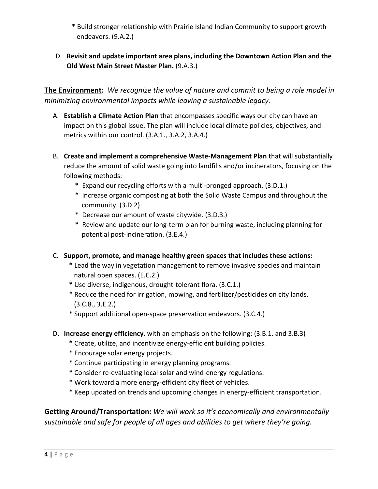\* Build stronger relationship with Prairie Island Indian Community to support growth endeavors. (9.A.2.)

#### D. **Revisit and update important area plans, including the Downtown Action Plan and the Old West Main Street Master Plan.** (9.A.3.)

**The Environment:** *We recognize the value of nature and commit to being a role model in minimizing environmental impacts while leaving a sustainable legacy.* 

- A. **Establish a Climate Action Plan** that encompasses specific ways our city can have an impact on this global issue. The plan will include local climate policies, objectives, and metrics within our control. (3.A.1., 3.A.2, 3.A.4.)
- B. **Create and implement a comprehensive Waste-Management Plan** that will substantially reduce the amount of solid waste going into landfills and/or incinerators, focusing on the following methods:
	- **\*** Expand our recycling efforts with a multi-pronged approach. (3.D.1.)
	- \* Increase organic composting at both the Solid Waste Campus and throughout the community. (3.D.2)
	- \* Decrease our amount of waste citywide. (3.D.3.)
	- \* Review and update our long-term plan for burning waste, including planning for potential post-incineration. (3.E.4.)
- C. **Support, promote, and manage healthy green spaces that includes these actions:**
	- **\*** Lead the way in vegetation management to remove invasive species and maintain natural open spaces. (E.C.2.)
	- **\*** Use diverse, indigenous, drought-tolerant flora. (3.C.1.)
	- \* Reduce the need for irrigation, mowing, and fertilizer/pesticides on city lands. (3.C.8., 3.E.2.)
	- **\*** Support additional open-space preservation endeavors. (3.C.4.)
- D. **Increase energy efficiency**, with an emphasis on the following: (3.B.1. and 3.B.3)
	- **\*** Create, utilize, and incentivize energy-efficient building policies.
	- \* Encourage solar energy projects.
	- \* Continue participating in energy planning programs.
	- \* Consider re-evaluating local solar and wind-energy regulations.
	- \* Work toward a more energy-efficient city fleet of vehicles.
	- \* Keep updated on trends and upcoming changes in energy-efficient transportation.

**Getting Around/Transportation:** *We will work so it's economically and environmentally sustainable and safe for people of all ages and abilities to get where they're going.*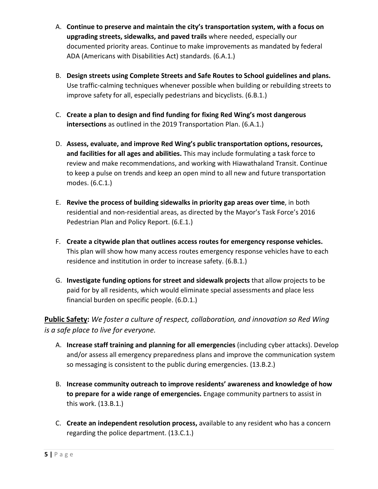- A. **Continue to preserve and maintain the city's transportation system, with a focus on upgrading streets, sidewalks, and paved trails** where needed, especially our documented priority areas. Continue to make improvements as mandated by federal ADA (Americans with Disabilities Act) standards. (6.A.1.)
- B. **Design streets using Complete Streets and Safe Routes to School guidelines and plans.**  Use traffic-calming techniques whenever possible when building or rebuilding streets to improve safety for all, especially pedestrians and bicyclists. (6.B.1.)
- C. **Create a plan to design and find funding for fixing Red Wing's most dangerous intersections** as outlined in the 2019 Transportation Plan. (6.A.1.)
- D. **Assess, evaluate, and improve Red Wing's public transportation options, resources, and facilities for all ages and abilities.** This may include formulating a task force to review and make recommendations, and working with Hiawathaland Transit. Continue to keep a pulse on trends and keep an open mind to all new and future transportation modes. (6.C.1.)
- E. **Revive the process of building sidewalks in priority gap areas over time**, in both residential and non-residential areas, as directed by the Mayor's Task Force's 2016 Pedestrian Plan and Policy Report. (6.E.1.)
- F. **Create a citywide plan that outlines access routes for emergency response vehicles.** This plan will show how many access routes emergency response vehicles have to each residence and institution in order to increase safety. (6.B.1.)
- G. **Investigate funding options for street and sidewalk projects** that allow projects to be paid for by all residents, which would eliminate special assessments and place less financial burden on specific people. (6.D.1.)

**Public Safety:** *We foster a culture of respect, collaboration, and innovation so Red Wing is a safe place to live for everyone.*

- A. **Increase staff training and planning for all emergencies** (including cyber attacks). Develop and/or assess all emergency preparedness plans and improve the communication system so messaging is consistent to the public during emergencies. (13.B.2.)
- B. **Increase community outreach to improve residents' awareness and knowledge of how to prepare for a wide range of emergencies.** Engage community partners to assist in this work. (13.B.1.)
- C. **Create an independent resolution process,** available to any resident who has a concern regarding the police department. (13.C.1.)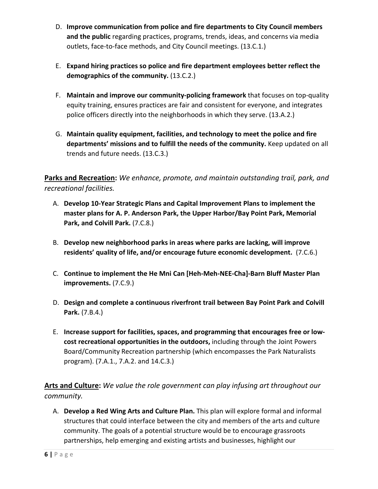- D. **Improve communication from police and fire departments to City Council members and the public** regarding practices, programs, trends, ideas, and concerns via media outlets, face-to-face methods, and City Council meetings. (13.C.1.)
- E. **Expand hiring practices so police and fire department employees better reflect the demographics of the community.** (13.C.2.)
- F. **Maintain and improve our community-policing framework** that focuses on top-quality equity training, ensures practices are fair and consistent for everyone, and integrates police officers directly into the neighborhoods in which they serve. (13.A.2.)
- G. **Maintain quality equipment, facilities, and technology to meet the police and fire departments' missions and to fulfill the needs of the community.** Keep updated on all trends and future needs. (13.C.3.)

**Parks and Recreation:** *We enhance, promote, and maintain outstanding trail, park, and recreational facilities.*

- A. **Develop 10-Year Strategic Plans and Capital Improvement Plans to implement the master plans for A. P. Anderson Park, the Upper Harbor/Bay Point Park, Memorial Park, and Colvill Park.** (7.C.8.)
- B. **Develop new neighborhood parks in areas where parks are lacking, will improve residents' quality of life, and/or encourage future economic development.** (7.C.6.)
- C. **Continue to implement the He Mni Can [Heh-Meh-NEE-Cha]-Barn Bluff Master Plan improvements.** (7.C.9.)
- D. **Design and complete a continuous riverfront trail between Bay Point Park and Colvill Park.** (7.B.4.)
- E. **Increase support for facilities, spaces, and programming that encourages free or lowcost recreational opportunities in the outdoors,** including through the Joint Powers Board/Community Recreation partnership (which encompasses the Park Naturalists program). (7.A.1., 7.A.2. and 14.C.3.)

**Arts and Culture:** *We value the role government can play infusing art throughout our community.* 

A. **Develop a Red Wing Arts and Culture Plan.** This plan will explore formal and informal structures that could interface between the city and members of the arts and culture community. The goals of a potential structure would be to encourage grassroots partnerships, help emerging and existing artists and businesses, highlight our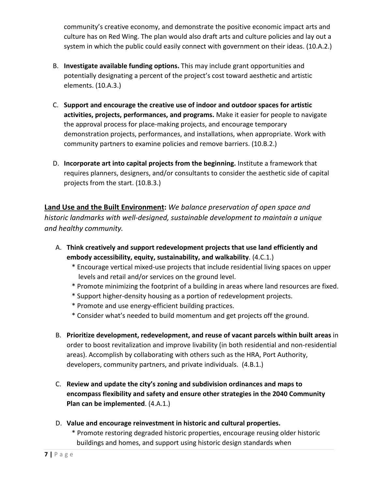community's creative economy, and demonstrate the positive economic impact arts and culture has on Red Wing. The plan would also draft arts and culture policies and lay out a system in which the public could easily connect with government on their ideas. (10.A.2.)

- B. **Investigate available funding options.** This may include grant opportunities and potentially designating a percent of the project's cost toward aesthetic and artistic elements. (10.A.3.)
- C. **Support and encourage the creative use of indoor and outdoor spaces for artistic activities, projects, performances, and programs.** Make it easier for people to navigate the approval process for place-making projects, and encourage temporary demonstration projects, performances, and installations, when appropriate. Work with community partners to examine policies and remove barriers. (10.B.2.)
- D. **Incorporate art into capital projects from the beginning.** Institute a framework that requires planners, designers, and/or consultants to consider the aesthetic side of capital projects from the start. (10.B.3.)

**Land Use and the Built Environment:** *We balance preservation of open space and historic landmarks with well-designed, sustainable development to maintain a unique and healthy community.*

- A. **Think creatively and support redevelopment projects that use land efficiently and embody accessibility, equity, sustainability, and walkability**. (4.C.1.)
	- \* Encourage vertical mixed-use projects that include residential living spaces on upper levels and retail and/or services on the ground level.
	- \* Promote minimizing the footprint of a building in areas where land resources are fixed.
	- \* Support higher-density housing as a portion of redevelopment projects.
	- \* Promote and use energy-efficient building practices.
	- \* Consider what's needed to build momentum and get projects off the ground.
- B. **Prioritize development, redevelopment, and reuse of vacant parcels within built areas** in order to boost revitalization and improve livability (in both residential and non-residential areas). Accomplish by collaborating with others such as the HRA, Port Authority, developers, community partners, and private individuals. (4.B.1.)
- C. **Review and update the city's zoning and subdivision ordinances and maps to encompass flexibility and safety and ensure other strategies in the 2040 Community Plan can be implemented**. (4.A.1.)
- D. **Value and encourage reinvestment in historic and cultural properties.**
	- \* Promote restoring degraded historic properties, encourage reusing older historic buildings and homes, and support using historic design standards when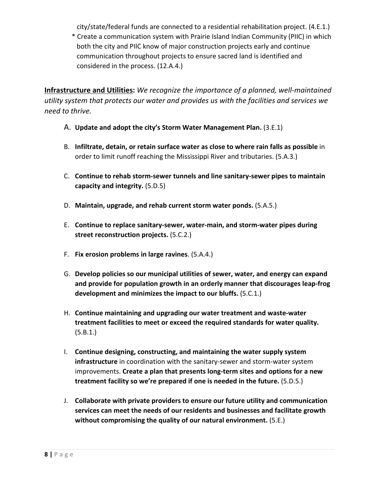city/state/federal funds are connected to a residential rehabilitation project. (4.E.1.)

 \* Create a communication system with Prairie Island Indian Community (PIIC) in which both the city and PIIC know of major construction projects early and continue communication throughout projects to ensure sacred land is identified and considered in the process. (12.A.4.)

**Infrastructure and Utilities:** *We recognize the importance of a planned, well-maintained utility system that protects our water and provides us with the facilities and services we need to thrive.*

- A. **Update and adopt the city's Storm Water Management Plan.** (3.E.1)
- B. **Infiltrate, detain, or retain surface water as close to where rain falls as possible** in order to limit runoff reaching the Mississippi River and tributaries. (5.A.3.)
- C. **Continue to rehab storm-sewer tunnels and line sanitary-sewer pipes to maintain capacity and integrity.** (5.D.5)
- D. **Maintain, upgrade, and rehab current storm water ponds.** (5.A.5.)
- E. **Continue to replace sanitary-sewer, water-main, and storm-water pipes during street reconstruction projects.** (5.C.2.)
- F. **Fix erosion problems in large ravines**. (5.A.4.)
- G. **Develop policies so our municipal utilities of sewer, water, and energy can expand and provide for population growth in an orderly manner that discourages leap-frog development and minimizes the impact to our bluffs.** (5.C.1.)
- H. **Continue maintaining and upgrading our water treatment and waste-water treatment facilities to meet or exceed the required standards for water quality.**  (5.B.1.)
- I. **Continue designing, constructing, and maintaining the water supply system infrastructure** in coordination with the sanitary-sewer and storm-water system improvements. **Create a plan that presents long-term sites and options for a new treatment facility so we're prepared if one is needed in the future.** (5.D.5.)
- J. **Collaborate with private providers to ensure our future utility and communication services can meet the needs of our residents and businesses and facilitate growth without compromising the quality of our natural environment.** (5.E.)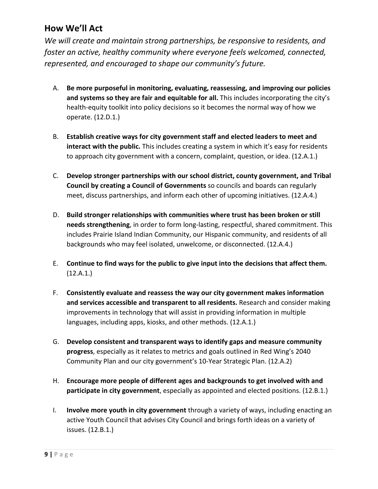### **How We'll Act**

*We will create and maintain strong partnerships, be responsive to residents, and foster an active, healthy community where everyone feels welcomed, connected, represented, and encouraged to shape our community's future.*

- A. **Be more purposeful in monitoring, evaluating, reassessing, and improving our policies and systems so they are fair and equitable for all.** This includes incorporating the city's health-equity toolkit into policy decisions so it becomes the normal way of how we operate. (12.D.1.)
- B. **Establish creative ways for city government staff and elected leaders to meet and interact with the public.** This includes creating a system in which it's easy for residents to approach city government with a concern, complaint, question, or idea. (12.A.1.)
- C. **Develop stronger partnerships with our school district, county government, and Tribal Council by creating a Council of Governments** so councils and boards can regularly meet, discuss partnerships, and inform each other of upcoming initiatives. (12.A.4.)
- D. **Build stronger relationships with communities where trust has been broken or still needs strengthening**, in order to form long-lasting, respectful, shared commitment. This includes Prairie Island Indian Community, our Hispanic community, and residents of all backgrounds who may feel isolated, unwelcome, or disconnected. (12.A.4.)
- E. **Continue to find ways for the public to give input into the decisions that affect them.** (12.A.1.)
- F. **Consistently evaluate and reassess the way our city government makes information and services accessible and transparent to all residents.** Research and consider making improvements in technology that will assist in providing information in multiple languages, including apps, kiosks, and other methods. (12.A.1.)
- G. **Develop consistent and transparent ways to identify gaps and measure community progress**, especially as it relates to metrics and goals outlined in Red Wing's 2040 Community Plan and our city government's 10-Year Strategic Plan. (12.A.2)
- H. **Encourage more people of different ages and backgrounds to get involved with and participate in city government**, especially as appointed and elected positions. (12.B.1.)
- I. **Involve more youth in city government** through a variety of ways, including enacting an active Youth Council that advises City Council and brings forth ideas on a variety of issues. (12.B.1.)